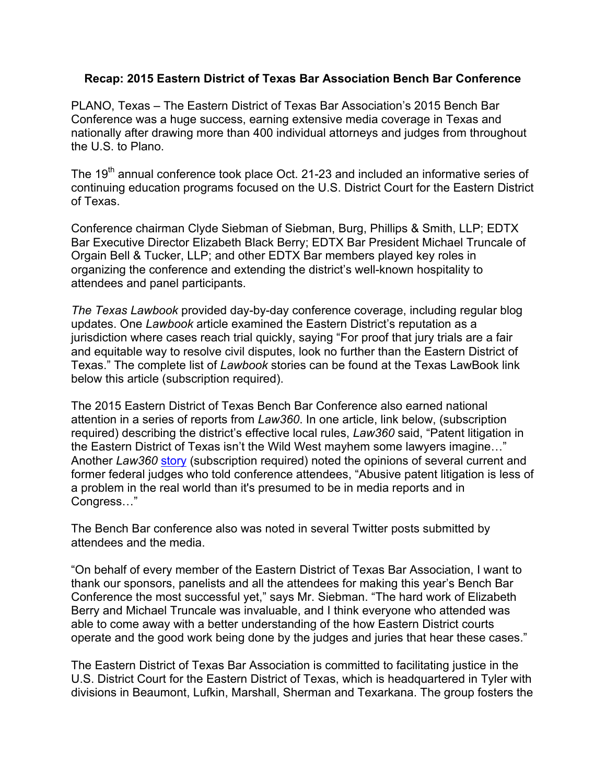## **Recap: 2015 Eastern District of Texas Bar Association Bench Bar Conference**

PLANO, Texas – The Eastern District of Texas Bar Association's 2015 Bench Bar Conference was a huge success, earning extensive media coverage in Texas and nationally after drawing more than 400 individual attorneys and judges from throughout the U.S. to Plano.

The 19<sup>th</sup> annual conference took place Oct. 21-23 and included an informative series of continuing education programs focused on the U.S. District Court for the Eastern District of Texas.

Conference chairman Clyde Siebman of Siebman, Burg, Phillips & Smith, LLP; EDTX Bar Executive Director Elizabeth Black Berry; EDTX Bar President Michael Truncale of Orgain Bell & Tucker, LLP; and other EDTX Bar members played key roles in organizing the conference and extending the district's well-known hospitality to attendees and panel participants.

*The Texas Lawbook* provided day-by-day conference coverage, including regular blog updates. One *Lawbook* article examined the Eastern District's reputation as a jurisdiction where cases reach trial quickly, saying "For proof that jury trials are a fair and equitable way to resolve civil disputes, look no further than the Eastern District of Texas." The complete list of *Lawbook* stories can be found at the Texas LawBook link below this article (subscription required).

The 2015 Eastern District of Texas Bench Bar Conference also earned national attention in a series of reports from *Law360*. In one article, link below, (subscription required) describing the district's effective local rules, *Law360* said, "Patent litigation in the Eastern District of Texas isn't the Wild West mayhem some lawyers imagine…" Another *Law360* story (subscription required) noted the opinions of several current and former federal judges who told conference attendees, "Abusive patent litigation is less of a problem in the real world than it's presumed to be in media reports and in Congress…"

The Bench Bar conference also was noted in several Twitter posts submitted by attendees and the media.

"On behalf of every member of the Eastern District of Texas Bar Association, I want to thank our sponsors, panelists and all the attendees for making this year's Bench Bar Conference the most successful yet," says Mr. Siebman. "The hard work of Elizabeth Berry and Michael Truncale was invaluable, and I think everyone who attended was able to come away with a better understanding of the how Eastern District courts operate and the good work being done by the judges and juries that hear these cases."

The Eastern District of Texas Bar Association is committed to facilitating justice in the U.S. District Court for the Eastern District of Texas, which is headquartered in Tyler with divisions in Beaumont, Lufkin, Marshall, Sherman and Texarkana. The group fosters the